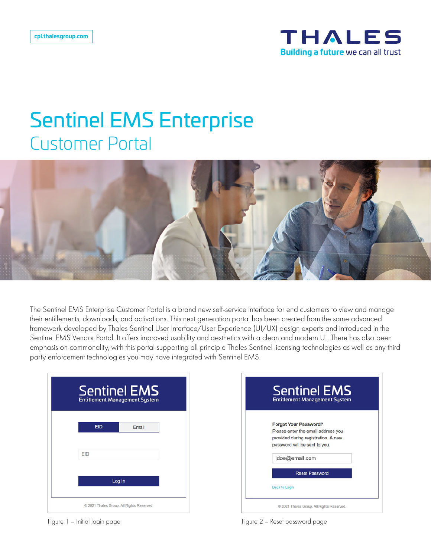

## Sentinel EMS Enterprise Customer Portal



The Sentinel EMS Enterprise Customer Portal is a brand new self-service interface for end customers to view and manage their entitlements, downloads, and activations. This next generation portal has been created from the same advanced framework developed by Thales Sentinel User Interface/User Experience (UI/UX) design experts and introduced in the Sentinel EMS Vendor Portal. It offers improved usability and aesthetics with a clean and modern UI. There has also been emphasis on commonality, with this portal supporting all principle Thales Sentinel licensing technologies as well as any third party enforcement technologies you may have integrated with Sentinel EMS.

|            | <b>Sentinel EMS</b><br><b>Entitlement Management System</b> |  |
|------------|-------------------------------------------------------------|--|
| <b>EID</b> | Email                                                       |  |
| EID        |                                                             |  |
|            | Log In                                                      |  |
|            | © 2021 Thales Group. All Rights Reserved.                   |  |

|                      | <b>Sentinel EMS</b><br><b>Entitlement Management System</b> |
|----------------------|-------------------------------------------------------------|
|                      | <b>Forgot Your Password?</b>                                |
|                      | Please enter the email address you                          |
|                      | provided during registration. A new                         |
|                      | password will be sent to you.                               |
|                      | jdoe@email.com                                              |
|                      | <b>Reset Password</b>                                       |
| <b>Back to Login</b> |                                                             |

Figure 1 – Initial login page Figure 2 – Reset password page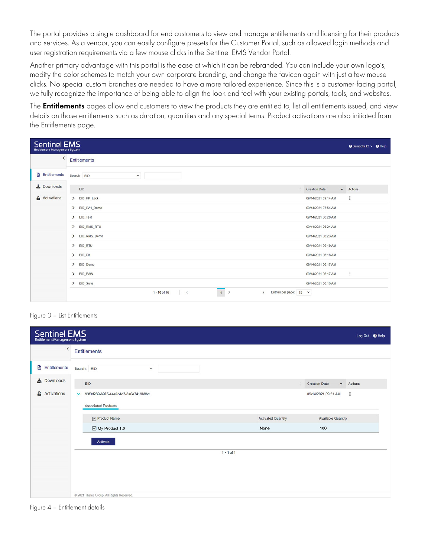The portal provides a single dashboard for end customers to view and manage entitlements and licensing for their products and services. As a vendor, you can easily configure presets for the Customer Portal, such as allowed login methods and user registration requirements via a few mouse clicks in the Sentinel EMS Vendor Portal.

Another primary advantage with this portal is the ease at which it can be rebranded. You can include your own logo's, modify the color schemes to match your own corporate branding, and change the favicon again with just a few mouse clicks. No special custom branches are needed to have a more tailored experience. Since this is a customer-facing portal, we fully recognize the importance of being able to align the look and feel with your existing portals, tools, and websites.

The **Entitlements** pages allow end customers to view the products they are entitled to, list all entitlements issued, and view details on those entitlements such as duration, quantities and any special terms. Product activations are also initiated from the Entitlements page.

| Sentinel EMS<br><b>Entitlement Management System</b> |                                                                                       |                      | $\Theta$ demoCnt12 $\times$ $\Theta$ Help |
|------------------------------------------------------|---------------------------------------------------------------------------------------|----------------------|-------------------------------------------|
| $\langle$                                            | <b>Entitlements</b>                                                                   |                      |                                           |
| <b>B</b> Entitlements                                | Search: EID<br>$\checkmark$                                                           |                      |                                           |
| $\triangle$ Downloads                                | EID                                                                                   | <b>Creation Date</b> | · Actions                                 |
| <b>&amp;</b> Activations                             | > EID FP Lock                                                                         | 09/14/2021 09:14 AM  | ፧                                         |
|                                                      | > EID_LVH_Demo                                                                        | 09/14/2021 07:54 AM  |                                           |
|                                                      | $\sum$ EID_Test                                                                       | 09/14/2021 06:28 AM  |                                           |
|                                                      | > EID RMS RTU                                                                         | 09/14/2021 06:24 AM  |                                           |
|                                                      | > EID_RMS_Demo                                                                        | 09/14/2021 06:23 AM  |                                           |
|                                                      | > EID_RTU                                                                             | 09/14/2021 06:19 AM  |                                           |
|                                                      | > EID Fit                                                                             | 09/14/2021 06:18 AM  |                                           |
|                                                      | > EID Demo                                                                            | 09/14/2021 06:17 AM  |                                           |
|                                                      | > EID EAW                                                                             | 09/14/2021 06:17 AM  | ÷                                         |
|                                                      | > EID_Suite                                                                           | 09/14/2021 06:16 AM  |                                           |
|                                                      | $1 \quad 2$<br>$1 - 10$ of 16<br>Entries per page: 10 v<br>$\langle$<br>$\rightarrow$ |                      |                                           |

Figure 3 – List Entitlements

| <b>Sentinel EMS</b><br>Log Out @ Help<br><b>Entitlement Management System</b> |                                                      |                           |                                         |  |  |  |
|-------------------------------------------------------------------------------|------------------------------------------------------|---------------------------|-----------------------------------------|--|--|--|
| $\left\langle \right\rangle$                                                  | <b>Entitlements</b>                                  |                           |                                         |  |  |  |
| <b>■</b> Entitlements                                                         | Search: EID<br>$\checkmark$                          |                           |                                         |  |  |  |
| $\frac{1}{26}$ Downloads                                                      | EID                                                  |                           | <b>Creation Date</b><br>- Actions       |  |  |  |
| <b>&amp;</b> Activations                                                      | 93f0d289-6975-4eef-b1d7-6a0e7419b8bc<br>$\checkmark$ |                           | $\ddot{\ddot{}}$<br>09/14/2021 09:31 AM |  |  |  |
|                                                                               | <b>Associated Products</b>                           |                           |                                         |  |  |  |
|                                                                               | Product Name                                         | <b>Activated Quantity</b> | <b>Available Quantity</b>               |  |  |  |
|                                                                               | My Product 1.0                                       | None                      | 100                                     |  |  |  |
|                                                                               | Activate                                             |                           |                                         |  |  |  |
|                                                                               | $1 - 1 of 1$                                         |                           |                                         |  |  |  |
|                                                                               |                                                      |                           |                                         |  |  |  |
|                                                                               |                                                      |                           |                                         |  |  |  |
|                                                                               |                                                      |                           |                                         |  |  |  |
|                                                                               | @ 2021 Thales Group. All Rights Reserved.            |                           |                                         |  |  |  |

Figure 4 – Entitlement details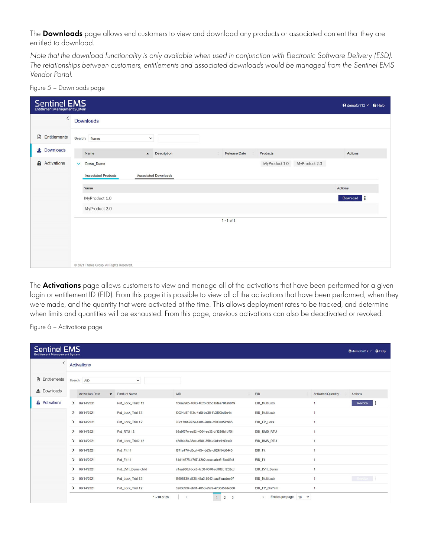The **Downloads** page allows end customers to view and download any products or associated content that they are entitled to download.

*Note that the download functionality is only available when used in conjunction with Electronic Software Delivery (ESD). The relationships between customers, entitlements and associated downloads would be managed from the Sentinel EMS Vendor Portal.* 

Figure 5 – Downloads page

| Sentinel EMS             |                  |                                           |                             |                     |                                | $\Theta$ demoCnt12 $\times$ $\Theta$ Help |
|--------------------------|------------------|-------------------------------------------|-----------------------------|---------------------|--------------------------------|-------------------------------------------|
| $\overline{\phantom{0}}$ | <b>Downloads</b> |                                           |                             |                     |                                |                                           |
| B<br>Entitlements        |                  | Search: Name<br>$\checkmark$              |                             |                     |                                |                                           |
| $\frac{1}{26}$ Downloads |                  | Name                                      | - Description               | <b>Release Date</b> | Products                       | Actions                                   |
| <b>&amp;</b> Activations | $\checkmark$     | Down Demo                                 |                             |                     | MyProduct 2.0<br>MyProduct 1.0 |                                           |
|                          |                  | <b>Associated Products</b>                | <b>Associated Downloads</b> |                     |                                |                                           |
|                          |                  | Name                                      |                             |                     |                                | Actions                                   |
|                          | MyProduct 1.0    |                                           |                             |                     |                                | Download                                  |
|                          |                  | MyProduct 2.0                             |                             |                     |                                |                                           |
|                          |                  |                                           |                             | $1 - 1 of 1$        |                                |                                           |
|                          |                  |                                           |                             |                     |                                |                                           |
|                          |                  |                                           |                             |                     |                                |                                           |
|                          |                  |                                           |                             |                     |                                |                                           |
|                          |                  | C 2021 Thales Group. All Rights Reserved. |                             |                     |                                |                                           |

The **Activations** page allows customers to view and manage all of the activations that have been performed for a given login or entitlement ID (EID). From this page it is possible to view all of the activations that have been performed, when they were made, and the quantity that were activated at the time. This allows deployment rates to be tracked, and determine when limits and quantities will be exhausted. From this page, previous activations can also be deactivated or revoked.

Figure 6 – Activations page

| <b>Sentinel EMS</b><br><b>Entitlement Management System</b> |                             |                                  |                                                                         |                                         |                           | $\Theta$ demoCnt12 $\times$ $\Theta$ Help |
|-------------------------------------------------------------|-----------------------------|----------------------------------|-------------------------------------------------------------------------|-----------------------------------------|---------------------------|-------------------------------------------|
|                                                             | <b>Activations</b>          |                                  |                                                                         |                                         |                           |                                           |
| Entitlements<br>₿                                           | Search: AID                 | $\checkmark$                     |                                                                         |                                         |                           |                                           |
| $\frac{1}{26}$ Downloads                                    | <b>Activation Date</b>      | <b>Product Name</b><br>$\bullet$ | <b>AID</b>                                                              | ×<br>EID                                | <b>Activated Quantity</b> | Actions                                   |
| <b>&amp;</b> Activations                                    | 209/14/2021                 | Prd Lock Trial2 12               | 1b6a2965-4003-4026-bb5c-bdaa791a9819                                    | EID MultiLock                           |                           | Revoke                                    |
|                                                             | 209/14/2021                 | Prd Lock Trial 12                | f0024b87-f13c-4af5-be36-7c3f90bd3e4a                                    | EID MultiLock                           |                           |                                           |
|                                                             | 09/14/2021<br>$\rightarrow$ | Prd_Lock_Trial 12                | 70c1fb6f-9224-4e86-9a0e-8580a05fc986                                    | EID_FP_Lock                             |                           |                                           |
|                                                             | 09/14/2021<br>$\rightarrow$ | Prd RTU 12                       | 99a9f57e-ee92-4004-ae32-df1299b1b751                                    | EID RMS RTU                             |                           |                                           |
|                                                             | 209/14/2021                 | Prd Lock_Trial2 12               | d36f4a3a-38ac-4581-85fc-d3dccfc90ca0                                    | EID RMS RTU                             | $\overline{1}$            |                                           |
|                                                             | 209/14/2021                 | Prd Fit 11                       | f971e476-d5cd-4f54-bd3e-c024f54b6445                                    | EID Fit                                 | $\mathbf{1}$              |                                           |
|                                                             | 09/14/2021<br>$\rightarrow$ | Prd Fit 11                       | 51d14575-b797-4302-aeac-abc615ee8fa3                                    | EID_Fit                                 |                           |                                           |
|                                                             | 09/14/2021<br>$\rightarrow$ | Prd_LVH_Demo child               | d1aa286d-bcc8-4c30-8346-ed182c1252cd                                    | EID LVH Demo                            |                           |                                           |
|                                                             | 09/14/2021<br>$\rightarrow$ | Prd Lock_Trial 12                | f8696430-d538-45a2-9942-caa7eacdee97                                    | EID MultiLock                           |                           | Revoke 5                                  |
|                                                             | 09/14/2021<br>$\rightarrow$ | Prd Lock Trial 12                | 3203c537-ab31-465d-a5c9-47b6d5dde860                                    | EID FP_OnPrim                           | $\overline{1}$            |                                           |
|                                                             |                             | $1 - 10$ of 26                   | $\mathbf{1}$<br>$\overline{2}$<br>$\overline{\mathbf{3}}$<br>$\epsilon$ | Entries per page: 10 V<br>$\rightarrow$ |                           |                                           |